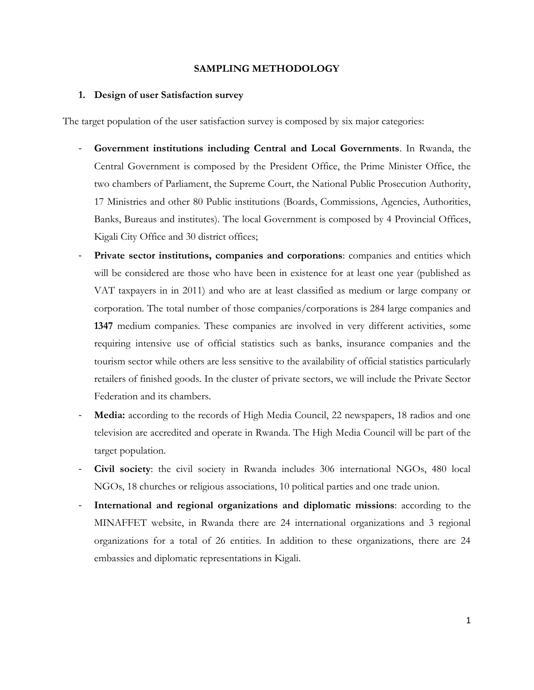# **SAMPLING METHODOLOGY**

# **1. Design of user Satisfaction survey**

The target population of the user satisfaction survey is composed by six major categories:

- **Government institutions including Central and Local Governments**. In Rwanda, the Central Government is composed by the President Office, the Prime Minister Office, the two chambers of Parliament, the Supreme Court, the National Public Prosecution Authority, 17 Ministries and other 80 Public institutions (Boards, Commissions, Agencies, Authorities, Banks, Bureaus and institutes). The local Government is composed by 4 Provincial Offices, Kigali City Office and 30 district offices;
- **Private sector institutions, companies and corporations**: companies and entities which will be considered are those who have been in existence for at least one year (published as VAT taxpayers in in 2011) and who are at least classified as medium or large company or corporation. The total number of those companies/corporations is 284 large companies and **1347** medium companies. These companies are involved in very different activities, some requiring intensive use of official statistics such as banks, insurance companies and the tourism sector while others are less sensitive to the availability of official statistics particularly retailers of finished goods. In the cluster of private sectors, we will include the Private Sector Federation and its chambers.
- Media: according to the records of High Media Council, 22 newspapers, 18 radios and one television are accredited and operate in Rwanda. The High Media Council will be part of the target population.
- **Civil society**: the civil society in Rwanda includes 306 international NGOs, 480 local NGOs, 18 churches or religious associations, 10 political parties and one trade union.
- **International and regional organizations and diplomatic missions**: according to the MINAFFET website, in Rwanda there are 24 international organizations and 3 regional organizations for a total of 26 entities. In addition to these organizations, there are 24 embassies and diplomatic representations in Kigali.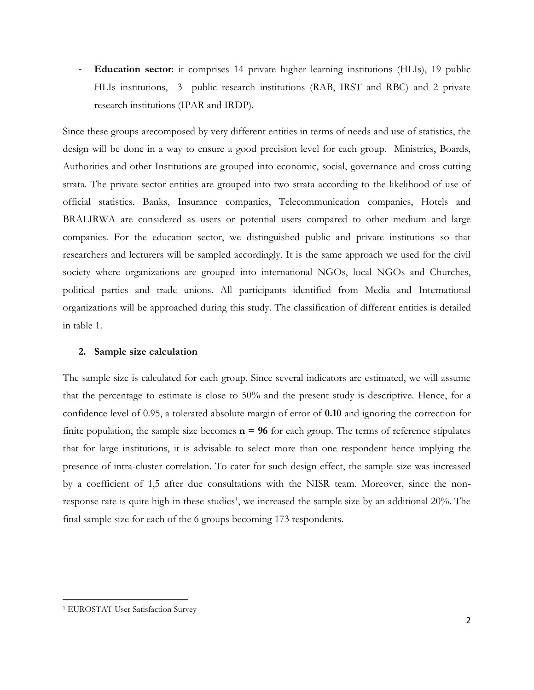- **Education sector**: it comprises 14 private higher learning institutions (HLIs), 19 public HLIs institutions, 3 public research institutions (RAB, IRST and RBC) and 2 private research institutions (IPAR and IRDP).

Since these groups arecomposed by very different entities in terms of needs and use of statistics, the design will be done in a way to ensure a good precision level for each group. Ministries, Boards, Authorities and other Institutions are grouped into economic, social, governance and cross cutting strata. The private sector entities are grouped into two strata according to the likelihood of use of official statistics. Banks, Insurance companies, Telecommunication companies, Hotels and BRALIRWA are considered as users or potential users compared to other medium and large companies. For the education sector, we distinguished public and private institutions so that researchers and lecturers will be sampled accordingly. It is the same approach we used for the civil society where organizations are grouped into international NGOs, local NGOs and Churches, political parties and trade unions. All participants identified from Media and International organizations will be approached during this study. The classification of different entities is detailed in table 1.

## **2. Sample size calculation**

The sample size is calculated for each group. Since several indicators are estimated, we will assume that the percentage to estimate is close to 50% and the present study is descriptive. Hence, for a confidence level of 0.95, a tolerated absolute margin of error of **0.10** and ignoring the correction for finite population, the sample size becomes  $n = 96$  for each group. The terms of reference stipulates that for large institutions, it is advisable to select more than one respondent hence implying the presence of intra-cluster correlation. To cater for such design effect, the sample size was increased by a coefficient of 1,5 after due consultations with the NISR team. Moreover, since the nonresponse rate is quite high in these studies<sup>1</sup>, we increased the sample size by an additional  $20\%$ . The final sample size for each of the 6 groups becoming 173 respondents.

 $\overline{\phantom{a}}$ 

<sup>1</sup> EUROSTAT User Satisfaction Survey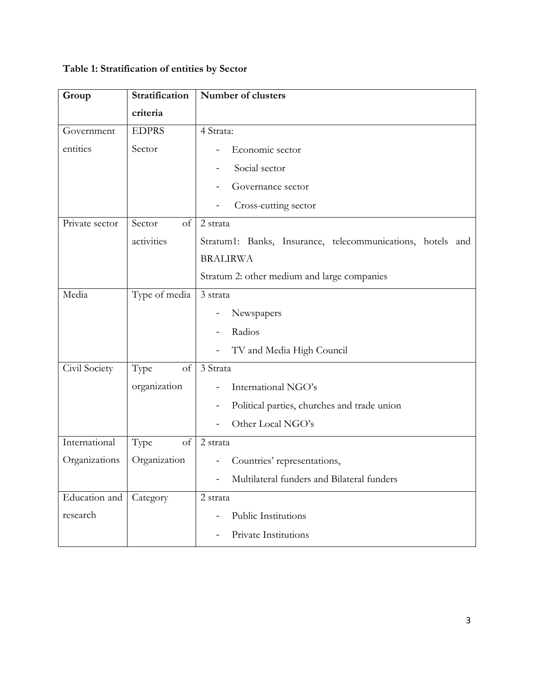# **Table 1: Stratification of entities by Sector**

| Group          | Stratification | Number of clusters                                         |
|----------------|----------------|------------------------------------------------------------|
|                | criteria       |                                                            |
| Government     | <b>EDPRS</b>   | 4 Strata:                                                  |
| entities       | Sector         | Economic sector                                            |
|                |                | Social sector                                              |
|                |                | Governance sector                                          |
|                |                | Cross-cutting sector                                       |
| Private sector | Sector<br>of   | 2 strata                                                   |
|                | activities     | Stratum1: Banks, Insurance, telecommunications, hotels and |
|                |                | <b>BRALIRWA</b>                                            |
|                |                | Stratum 2: other medium and large companies                |
| Media          | Type of media  | 3 strata                                                   |
|                |                | Newspapers                                                 |
|                |                | Radios                                                     |
|                |                | TV and Media High Council                                  |
| Civil Society  | Type<br>of     | 3 Strata                                                   |
|                | organization   | International NGO's                                        |
|                |                | Political parties, churches and trade union                |
|                |                | Other Local NGO's                                          |
| International  | Type<br>of     | 2 strata                                                   |
| Organizations  | Organization   | Countries' representations,                                |
|                |                | Multilateral funders and Bilateral funders                 |
| Education and  | Category       | 2 strata                                                   |
| research       |                | Public Institutions                                        |
|                |                | Private Institutions<br>$\blacksquare$                     |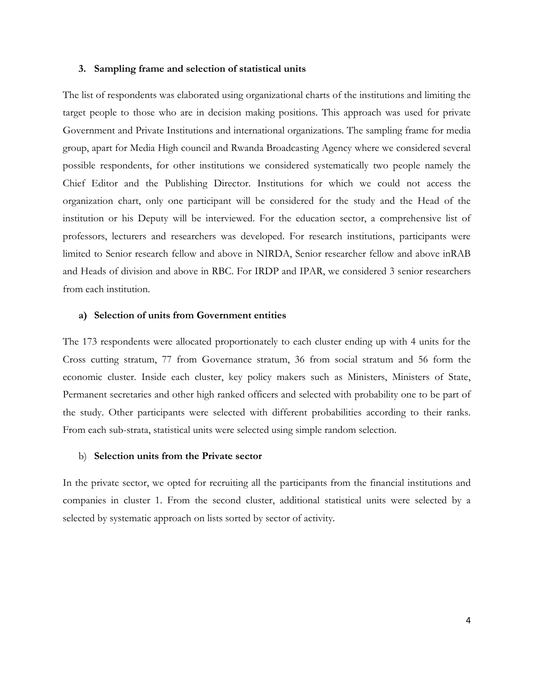#### **3. Sampling frame and selection of statistical units**

The list of respondents was elaborated using organizational charts of the institutions and limiting the target people to those who are in decision making positions. This approach was used for private Government and Private Institutions and international organizations. The sampling frame for media group, apart for Media High council and Rwanda Broadcasting Agency where we considered several possible respondents, for other institutions we considered systematically two people namely the Chief Editor and the Publishing Director. Institutions for which we could not access the organization chart, only one participant will be considered for the study and the Head of the institution or his Deputy will be interviewed. For the education sector, a comprehensive list of professors, lecturers and researchers was developed. For research institutions, participants were limited to Senior research fellow and above in NIRDA, Senior researcher fellow and above inRAB and Heads of division and above in RBC. For IRDP and IPAR, we considered 3 senior researchers from each institution.

## **a) Selection of units from Government entities**

The 173 respondents were allocated proportionately to each cluster ending up with 4 units for the Cross cutting stratum, 77 from Governance stratum, 36 from social stratum and 56 form the economic cluster. Inside each cluster, key policy makers such as Ministers, Ministers of State, Permanent secretaries and other high ranked officers and selected with probability one to be part of the study. Other participants were selected with different probabilities according to their ranks. From each sub-strata, statistical units were selected using simple random selection.

## b) **Selection units from the Private sector**

In the private sector, we opted for recruiting all the participants from the financial institutions and companies in cluster 1. From the second cluster, additional statistical units were selected by a selected by systematic approach on lists sorted by sector of activity.